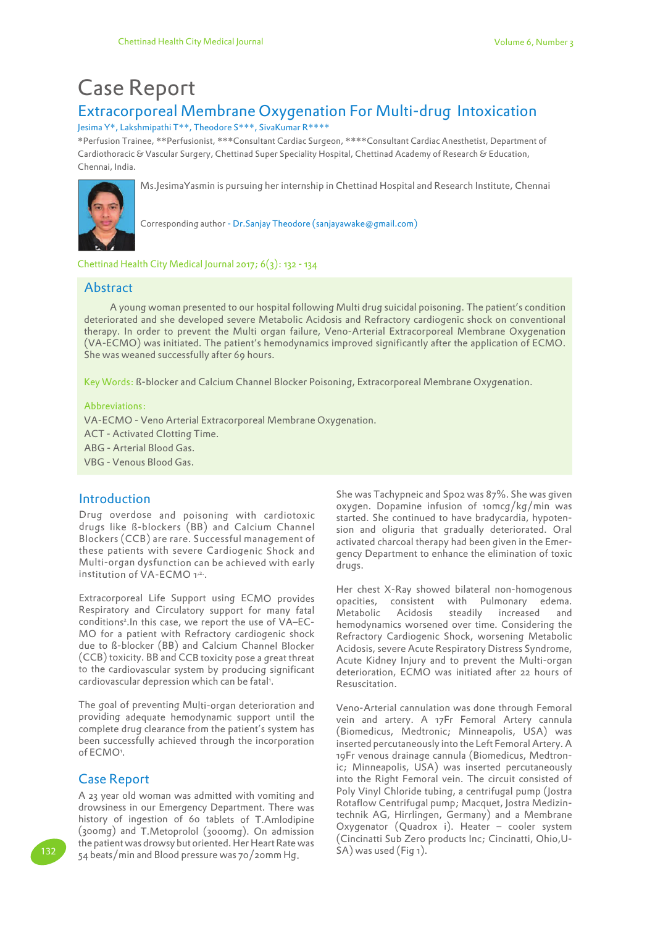# Case Report

## Extracorporeal Membrane Oxygenation For Multi-drug Intoxication

Jesima Y\*, Lakshmipathi T\*\*, Theodore S\*\*\*, SivaKumar R\*\*\*\*

\*Perfusion Trainee, \*\*Perfusionist, \*\*\*Consultant Cardiac Surgeon, \*\*\*\*Consultant Cardiac Anesthetist, Department of Cardiothoracic & Vascular Surgery, Chettinad Super Speciality Hospital, Chettinad Academy of Research & Education, Chennai, India.



Ms.JesimaYasmin is pursuing her internship in Chettinad Hospital and Research Institute, Chennai

Corresponding author - Dr.Sanjay Theodore (sanjayawake@gmail.com)

Chettinad Health City Medical Journal 2017;  $6(3)$ : 132 - 134

#### Abstract

 A young woman presented to our hospital following Multi drug suicidal poisoning. The patient's condition deteriorated and she developed severe Metabolic Acidosis and Refractory cardiogenic shock on conventional therapy. In order to prevent the Multi organ failure, Veno-Arterial Extracorporeal Membrane Oxygenation (VA-ECMO) was initiated. The patient's hemodynamics improved significantly after the application of ECMO. She was weaned successfully after 69 hours.

Key Words: ß-blocker and Calcium Channel Blocker Poisoning, Extracorporeal Membrane Oxygenation.

#### Abbreviations:

VA-ECMO - Veno Arterial Extracorporeal Membrane Oxygenation.

ACT - Activated Clotting Time.

ABG - Arterial Blood Gas.

VBG - Venous Blood Gas.

### **Introduction**

Drug overdose and poisoning with cardiotoxic drugs like ß-blockers (BB) and Calcium Channel Blockers (CCB) are rare. Successful management of these patients with severe Cardiogenic Shock and Multi-organ dysfunction can be achieved with early institution of VA-ECMO 1<sup>,2.</sup>.

Extracorporeal Life Support using ECMO provides Respiratory and Circulatory support for many fatal conditions<sup>2</sup> .In this case, we report the use of VA–EC-MO for a patient with Refractory cardiogenic shock due to ß-blocker (BB) and Calcium Channel Blocker (CCB) toxicity. BB and CCB toxicity pose a great threat to the cardiovascular system by producing significant cardiovascular depression which can be fatal<sup>1</sup>.

The goal of preventing Multi-organ deterioration and providing adequate hemodynamic support until the complete drug clearance from the patient's system has been successfully achieved through the incorporation of ECMO'.

## Case Report

A 23 year old woman was admitted with vomiting and drowsiness in our Emergency Department. There was history of ingestion of 60 tablets of T.Amlodipine (300mg) and T.Metoprolol (3000mg). On admission the patient was drowsy but oriented. Her Heart Rate was 132 Same beats/min and Blood pressure was 70/20mm Hg. SA) was used (Fig 1).

She was Tachypneic and Sp02 was 87%. She was given oxygen. Dopamine infusion of 10mcg/kg/min was started. She continued to have bradycardia, hypotension and oliguria that gradually deteriorated. Oral activated charcoal therapy had been given in the Emergency Department to enhance the elimination of toxic drugs.

Her chest X-Ray showed bilateral non-homogenous opacities, consistent with Pulmonary edema. Metabolic Acidosis steadily increased and hemodynamics worsened over time. Considering the Refractory Cardiogenic Shock, worsening Metabolic Acidosis, severe Acute Respiratory Distress Syndrome, Acute Kidney Injury and to prevent the Multi-organ deterioration, ECMO was initiated after 22 hours of Resuscitation.

Veno-Arterial cannulation was done through Femoral vein and artery. A 17Fr Femoral Artery cannula (Biomedicus, Medtronic; Minneapolis, USA) was inserted percutaneously into the Left Femoral Artery. A 19Fr venous drainage cannula (Biomedicus, Medtronic; Minneapolis, USA) was inserted percutaneously into the Right Femoral vein. The circuit consisted of Poly Vinyl Chloride tubing, a centrifugal pump (Jostra Rotaflow Centrifugal pump; Macquet, Jostra Medizintechnik AG, Hirrlingen, Germany) and a Membrane Oxygenator (Quadrox i). Heater – cooler system (Cincinatti Sub Zero products Inc; Cincinatti, Ohio,U-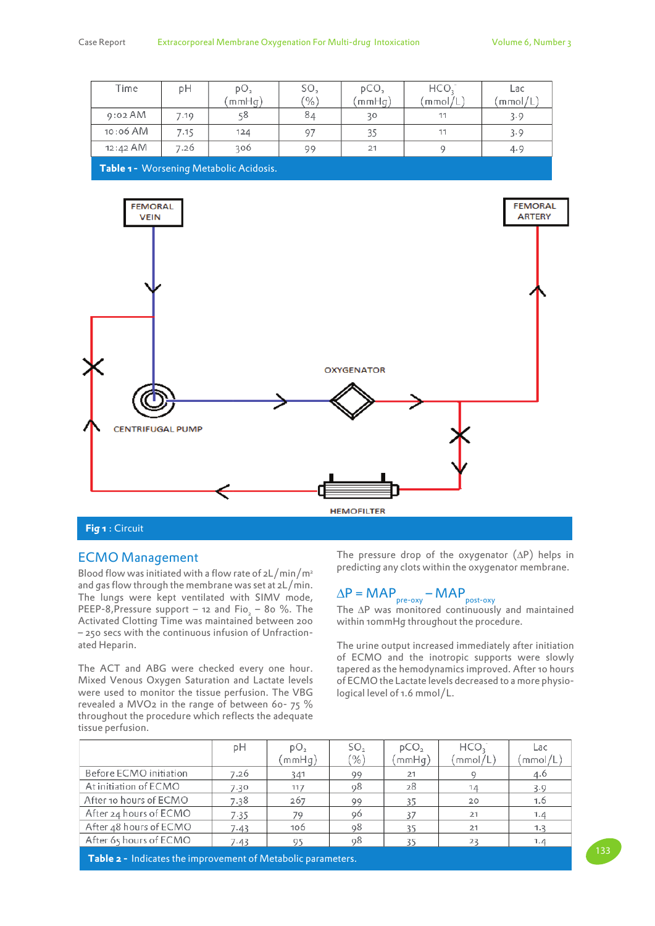| Time                                 | pН   | pO <sub>2</sub> | SO <sub>2</sub> | pCO <sub>2</sub> | HCO,                     | Lac    |  |  |  |  |
|--------------------------------------|------|-----------------|-----------------|------------------|--------------------------|--------|--|--|--|--|
|                                      |      | mmHq)           | $(\%)$          | (mmHg)           | $\gamma$ mmol $\gamma$ L | mmol/L |  |  |  |  |
| $9:02$ AM                            | 7.19 | 58              | 84              | 30               | 11                       | 3.9    |  |  |  |  |
| 10:06 AM                             | 7.15 | 124             | 97              | 35               | 11                       | 3.9    |  |  |  |  |
| 12:42 AM                             | 7.26 | 306             | 99              | 21               |                          | 4.9    |  |  |  |  |
| Teble 4 Mossociac Matchelic Acidesis |      |                 |                 |                  |                          |        |  |  |  |  |

**Table 1 -** Worsening Metabolic Acidosis.



#### **Fig 1** : Circuit

#### ECMO Management

Blood flow was initiated with a flow rate of  $2L/min/m^2$ and gas flow through the membrane was set at 2L/min. The lungs were kept ventilated with SIMV mode, PEEP-8, Pressure support – 12 and  $Fi_{2}$  – 80 %. The Activated Clotting Time was maintained between 200 – 250 secs with the continuous infusion of Unfractionated Heparin.

The ACT and ABG were checked every one hour. Mixed Venous Oxygen Saturation and Lactate levels were used to monitor the tissue perfusion. The VBG revealed a MVO2 in the range of between 60- 75 % throughout the procedure which reflects the adequate tissue perfusion.

The pressure drop of the oxygenator (∆P) helps in predicting any clots within the oxygenator membrane.

## $\Delta P = \mathsf{MAP}_{\mathsf{pre-oxy}} - \mathsf{MAP}_{\mathsf{post-oxy}}$

The ∆P was monitored continuously and maintained within 10mmHg throughout the procedure.

The urine output increased immediately after initiation of ECMO and the inotropic supports were slowly tapered as the hemodynamics improved. After 10 hours of ECMO the Lactate levels decreased to a more physiological level of 1.6 mmol/L.

|                        | pΗ   | pO <sub>2</sub><br>(mmHq) | SO <sub>2</sub><br>$(\% )$ | pCO <sub>2</sub><br>mmHq) | HCO,<br>mmol/L) | Lac<br>(mmol/L) |
|------------------------|------|---------------------------|----------------------------|---------------------------|-----------------|-----------------|
| Before ECMO initiation | 7.26 | 341                       | 99                         | 21                        |                 | 4.6             |
| At initiation of ECMO  | 7.30 | 117                       | 98                         | 28                        | 14              | 3.9             |
| After 10 hours of ECMO | 7.38 | 267                       | 99                         | 35                        | 20              | 1.6             |
| After 24 hours of ECMO | 7.35 | 70                        | 96                         | 37                        | 21              | 1.4             |
| After 48 hours of ECMO | 7.43 | 106                       | 98                         | 35                        | 21              | 1.3             |
| After 65 hours of ECMO | 7.43 | 95                        | 98                         | 35                        | 23              | 1.4             |

**Table 2 -** Indicates the improvement of Metabolic parameters.